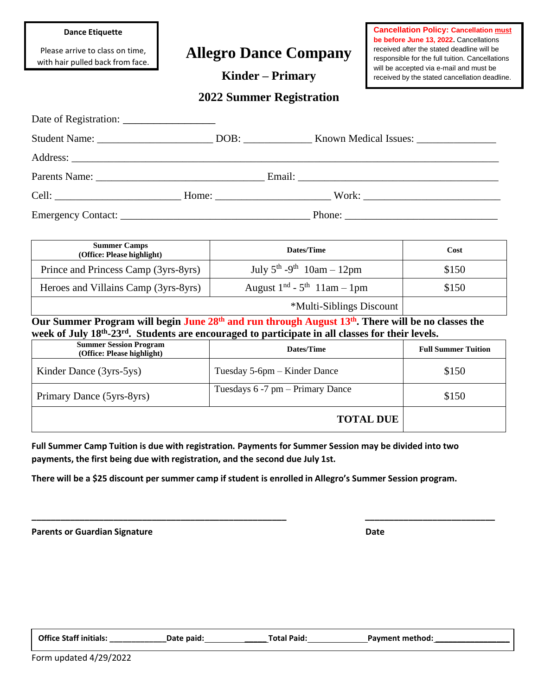#### **Dance Etiquette**

Please arrive to class on time, with hair pulled back from face.

# **Allegro Dance Company**

**Kinder – Primary**

**Cancellation Policy: Cancellation must be before June 13, 2022.** Cancellations received after the stated deadline will be responsible for the full tuition. Cancellations will be accepted via e-mail and must be received by the stated cancellation deadline.

|  | <b>2022 Summer Registration</b> |
|--|---------------------------------|
|--|---------------------------------|

| <b>Summer Camps</b><br>(Office: Please highlight) | Dates/Time                                 | Cost  |
|---------------------------------------------------|--------------------------------------------|-------|
| Prince and Princess Camp (3yrs-8yrs)              | July $5^{th}$ -9 <sup>th</sup> 10am - 12pm | \$150 |
| Heroes and Villains Camp (3yrs-8yrs)              | August $1nd$ - $5th$ 11am - 1pm            | \$150 |
|                                                   | *Multi-Siblings Discount                   |       |

**Our Summer Program will begin June 28th and run through August 13th . There will be no classes the week of July 18th -23rd . Students are encouraged to participate in all classes for their levels.**

| <b>Summer Session Program</b><br>(Office: Please highlight) | Dates/Time                            | <b>Full Summer Tuition</b> |
|-------------------------------------------------------------|---------------------------------------|----------------------------|
| Kinder Dance (3yrs-5ys)                                     | Tuesday 5-6pm – Kinder Dance          | \$150                      |
| Primary Dance (5yrs-8yrs)                                   | Tuesdays $6 - 7$ pm $-$ Primary Dance | \$150                      |
|                                                             | <b>TOTAL DUE</b>                      |                            |

**Full Summer Camp Tuition is due with registration. Payments for Summer Session may be divided into two payments, the first being due with registration, and the second due July 1st.**

**There will be a \$25 discount per summer camp if student is enrolled in Allegro's Summer Session program.**

**\_\_\_\_\_\_\_\_\_\_\_\_\_\_\_\_\_\_\_\_\_\_\_\_\_\_\_\_\_\_\_\_\_\_\_\_\_\_\_\_\_\_\_\_\_\_\_\_\_\_\_\_\_ \_\_\_\_\_\_\_\_\_\_\_\_\_\_\_\_\_\_\_\_\_\_\_\_\_\_\_**

**Parents or Guardian Signature Date** Date

**Office Staff initials: \_\_\_\_\_\_\_\_\_\_\_\_\_Date paid: \_\_\_\_\_ Total Paid: Payment method: \_\_\_\_\_\_\_\_\_\_\_\_\_\_\_\_\_**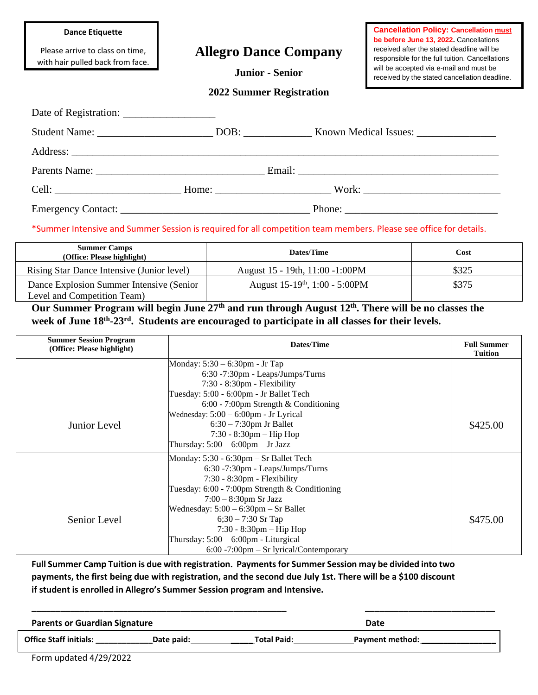#### **Dance Etiquette**

Please arrive to class on time, with hair pulled back from face.

## **Allegro Dance Company**

**Junior - Senior**

**Cancellation Policy: Cancellation must be before June 13, 2022.** Cancellations received after the stated deadline will be responsible for the full tuition. Cancellations will be accepted via e-mail and must be received by the stated cancellation deadline.

#### **2022 Summer Registration**

\*Summer Intensive and Summer Session is required for all competition team members. Please see office for details.

| <b>Summer Camps</b><br>(Office: Please highlight)                        | Dates/Time                            | Cost  |
|--------------------------------------------------------------------------|---------------------------------------|-------|
| Rising Star Dance Intensive (Junior level)                               | August 15 - 19th, 11:00 - 1:00PM      | \$325 |
| Dance Explosion Summer Intensive (Senior)<br>Level and Competition Team) | August $15-19^{th}$ , $1:00 - 5:00PM$ | \$375 |

**Our Summer Program will begin June 27th and run through August 12th . There will be no classes the week of June 18th -23rd . Students are encouraged to participate in all classes for their levels.**

| <b>Summer Session Program</b><br>(Office: Please highlight) | Dates/Time                                        | <b>Full Summer</b><br><b>Tuition</b> |
|-------------------------------------------------------------|---------------------------------------------------|--------------------------------------|
|                                                             | Monday: 5:30 – 6:30pm - Jr Tap                    |                                      |
|                                                             | $6:30 - 7:30$ pm - Leaps/Jumps/Turns              |                                      |
|                                                             | $7:30 - 8:30$ pm - Flexibility                    |                                      |
|                                                             | Tuesday: 5:00 - 6:00pm - Jr Ballet Tech           |                                      |
|                                                             | $6:00 - 7:00$ pm Strength & Conditioning          |                                      |
|                                                             | Wednesday: $5:00 - 6:00$ pm - Jr Lyrical          |                                      |
| Junior Level                                                | $6:30-7:30$ pm Jr Ballet                          | \$425.00                             |
|                                                             | $7:30 - 8:30$ pm — Hip Hop                        |                                      |
|                                                             | Thursday: $5:00 - 6:00$ pm $-$ Jr Jazz            |                                      |
|                                                             | Monday: 5:30 - 6:30pm - Sr Ballet Tech            |                                      |
|                                                             | 6:30 -7:30pm - Leaps/Jumps/Turns                  |                                      |
|                                                             | $7:30 - 8:30$ pm - Flexibility                    |                                      |
|                                                             | Tuesday: $6:00 - 7:00$ pm Strength & Conditioning |                                      |
|                                                             | $7:00 - 8:30$ pm Sr Jazz                          |                                      |
|                                                             | Wednesday: $5:00 - 6:30$ pm $-$ Sr Ballet         |                                      |
| Senior Level                                                | $6;30 - 7:30$ Sr Tap                              | \$475.00                             |
|                                                             | $7:30 - 8:30$ pm - Hip Hop                        |                                      |
|                                                             | Thursday: $5:00 - 6:00$ pm - Liturgical           |                                      |
|                                                             | $6:00 - 7:00$ pm $-$ Sr lyrical/Contemporary      |                                      |

**Full Summer Camp Tuition is due with registration. Payments for Summer Session may be divided into two** payments, the first being due with registration, and the second due July 1st. There will be a \$100 discount **if student is enrolled in Allegro's Summer Session program and Intensive.**

| <b>Parents or Guardian Signature</b> |            |                    | Date                   |  |
|--------------------------------------|------------|--------------------|------------------------|--|
| <b>Office Staff initials:</b>        | Date paid: | <b>Total Paid:</b> | <b>Payment method:</b> |  |

Form updated 4/29/2022